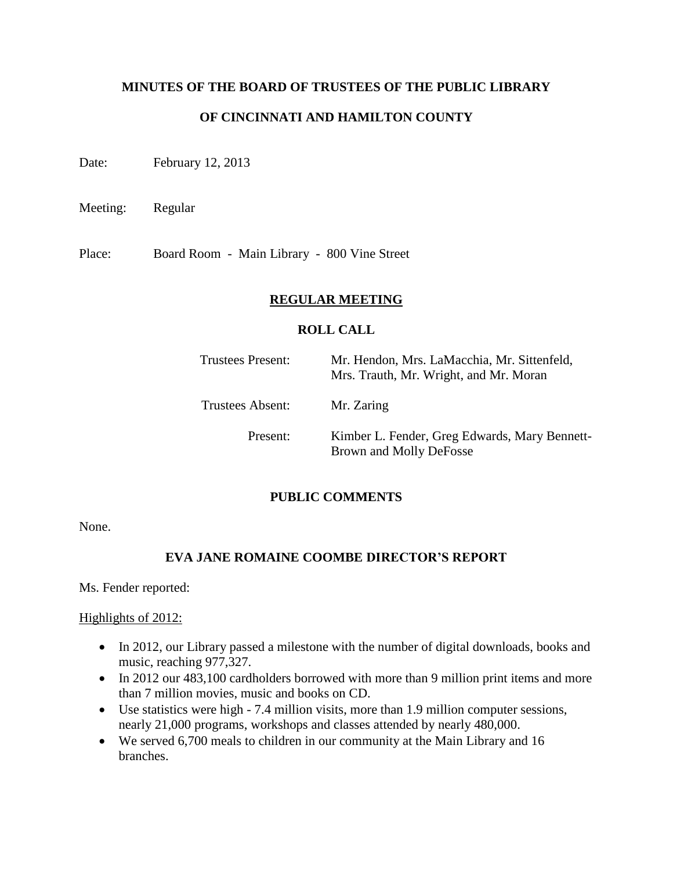### **MINUTES OF THE BOARD OF TRUSTEES OF THE PUBLIC LIBRARY**

## **OF CINCINNATI AND HAMILTON COUNTY**

Date: February 12, 2013

Meeting: Regular

Place: Board Room - Main Library - 800 Vine Street

### **REGULAR MEETING**

#### **ROLL CALL**

| <b>Trustees Present:</b> | Mr. Hendon, Mrs. LaMacchia, Mr. Sittenfeld,<br>Mrs. Trauth, Mr. Wright, and Mr. Moran |
|--------------------------|---------------------------------------------------------------------------------------|
| <b>Trustees Absent:</b>  | Mr. Zaring                                                                            |
| Present:                 | Kimber L. Fender, Greg Edwards, Mary Bennett-<br>Brown and Molly DeFosse              |

### **PUBLIC COMMENTS**

None.

### **EVA JANE ROMAINE COOMBE DIRECTOR'S REPORT**

Ms. Fender reported:

#### Highlights of 2012:

- In 2012, our Library passed a milestone with the number of digital downloads, books and music, reaching 977,327.
- In 2012 our 483,100 cardholders borrowed with more than 9 million print items and more than 7 million movies, music and books on CD.
- Use statistics were high 7.4 million visits, more than 1.9 million computer sessions, nearly 21,000 programs, workshops and classes attended by nearly 480,000.
- We served 6,700 meals to children in our community at the Main Library and 16 branches.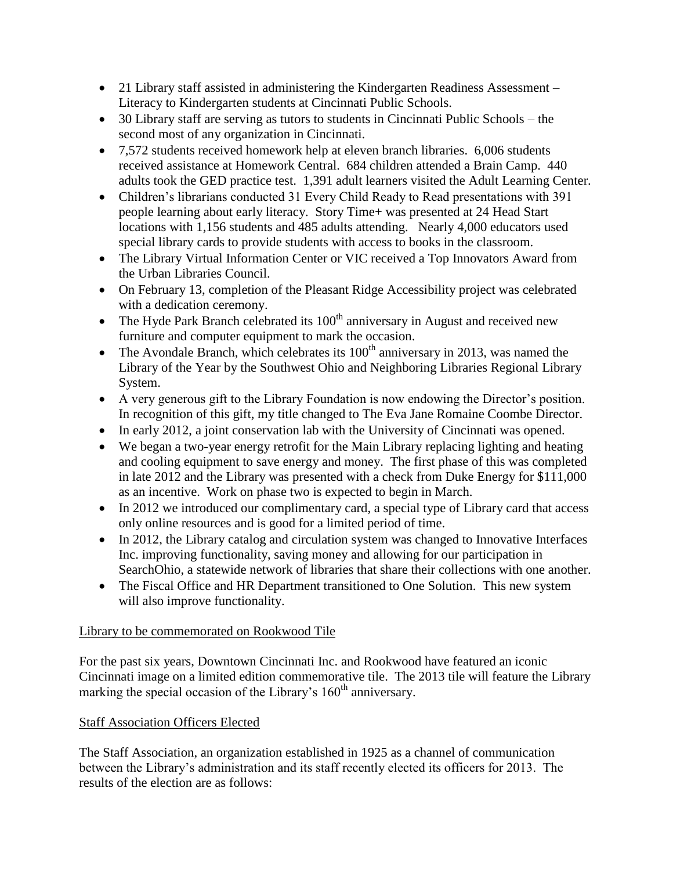- 21 Library staff assisted in administering the Kindergarten Readiness Assessment Literacy to Kindergarten students at Cincinnati Public Schools.
- 30 Library staff are serving as tutors to students in Cincinnati Public Schools the second most of any organization in Cincinnati.
- 7,572 students received homework help at eleven branch libraries. 6,006 students received assistance at Homework Central. 684 children attended a Brain Camp. 440 adults took the GED practice test. 1,391 adult learners visited the Adult Learning Center.
- Children's librarians conducted 31 Every Child Ready to Read presentations with 391 people learning about early literacy. Story Time+ was presented at 24 Head Start locations with 1,156 students and 485 adults attending. Nearly 4,000 educators used special library cards to provide students with access to books in the classroom.
- The Library Virtual Information Center or VIC received a Top Innovators Award from the Urban Libraries Council.
- On February 13, completion of the Pleasant Ridge Accessibility project was celebrated with a dedication ceremony.
- The Hyde Park Branch celebrated its  $100<sup>th</sup>$  anniversary in August and received new furniture and computer equipment to mark the occasion.
- The Avondale Branch, which celebrates its  $100<sup>th</sup>$  anniversary in 2013, was named the Library of the Year by the Southwest Ohio and Neighboring Libraries Regional Library System.
- A very generous gift to the Library Foundation is now endowing the Director's position. In recognition of this gift, my title changed to The Eva Jane Romaine Coombe Director.
- In early 2012, a joint conservation lab with the University of Cincinnati was opened.
- We began a two-year energy retrofit for the Main Library replacing lighting and heating and cooling equipment to save energy and money. The first phase of this was completed in late 2012 and the Library was presented with a check from Duke Energy for \$111,000 as an incentive. Work on phase two is expected to begin in March.
- In 2012 we introduced our complimentary card, a special type of Library card that access only online resources and is good for a limited period of time.
- In 2012, the Library catalog and circulation system was changed to Innovative Interfaces Inc. improving functionality, saving money and allowing for our participation in SearchOhio, a statewide network of libraries that share their collections with one another.
- The Fiscal Office and HR Department transitioned to One Solution. This new system will also improve functionality.

# Library to be commemorated on Rookwood Tile

For the past six years, Downtown Cincinnati Inc. and Rookwood have featured an iconic Cincinnati image on a limited edition commemorative tile. The 2013 tile will feature the Library marking the special occasion of the Library's 160<sup>th</sup> anniversary.

# Staff Association Officers Elected

The Staff Association, an organization established in 1925 as a channel of communication between the Library's administration and its staff recently elected its officers for 2013. The results of the election are as follows: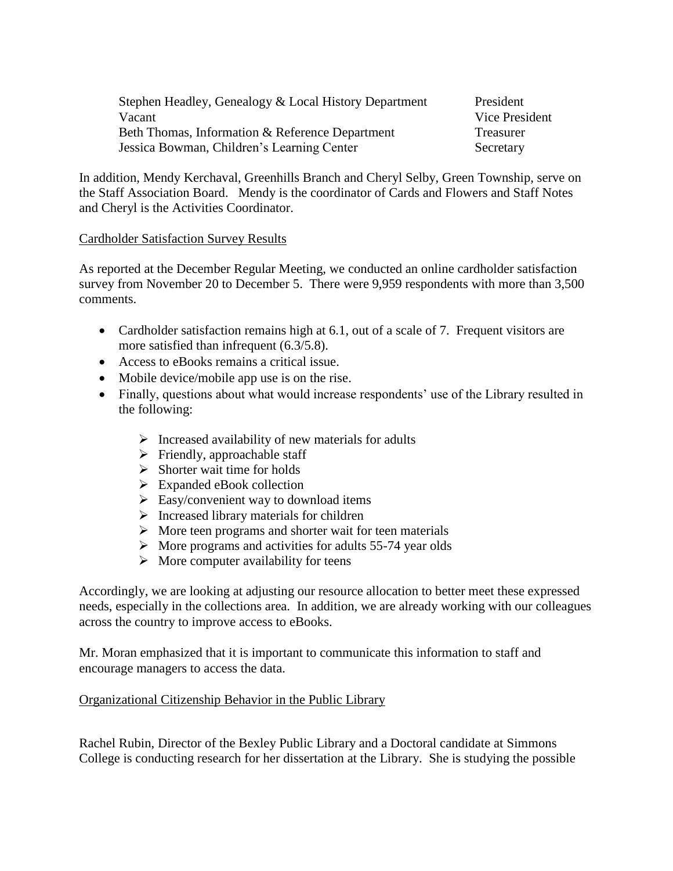| Stephen Headley, Genealogy & Local History Department<br>Vacant | President<br>Vice President |
|-----------------------------------------------------------------|-----------------------------|
| Beth Thomas, Information & Reference Department                 | Treasurer                   |
| Jessica Bowman, Children's Learning Center                      | Secretary                   |

In addition, Mendy Kerchaval, Greenhills Branch and Cheryl Selby, Green Township, serve on the Staff Association Board. Mendy is the coordinator of Cards and Flowers and Staff Notes and Cheryl is the Activities Coordinator.

### Cardholder Satisfaction Survey Results

As reported at the December Regular Meeting, we conducted an online cardholder satisfaction survey from November 20 to December 5. There were 9,959 respondents with more than 3,500 comments.

- Cardholder satisfaction remains high at 6.1, out of a scale of 7. Frequent visitors are more satisfied than infrequent (6.3/5.8).
- Access to eBooks remains a critical issue.
- Mobile device/mobile app use is on the rise.
- Finally, questions about what would increase respondents' use of the Library resulted in the following:
	- $\triangleright$  Increased availability of new materials for adults
	- $\triangleright$  Friendly, approachable staff
	- $\triangleright$  Shorter wait time for holds
	- $\triangleright$  Expanded eBook collection
	- $\triangleright$  Easy/convenient way to download items
	- $\triangleright$  Increased library materials for children
	- $\triangleright$  More teen programs and shorter wait for teen materials
	- $\triangleright$  More programs and activities for adults 55-74 year olds
	- $\triangleright$  More computer availability for teens

Accordingly, we are looking at adjusting our resource allocation to better meet these expressed needs, especially in the collections area. In addition, we are already working with our colleagues across the country to improve access to eBooks.

Mr. Moran emphasized that it is important to communicate this information to staff and encourage managers to access the data.

## Organizational Citizenship Behavior in the Public Library

Rachel Rubin, Director of the Bexley Public Library and a Doctoral candidate at Simmons College is conducting research for her dissertation at the Library. She is studying the possible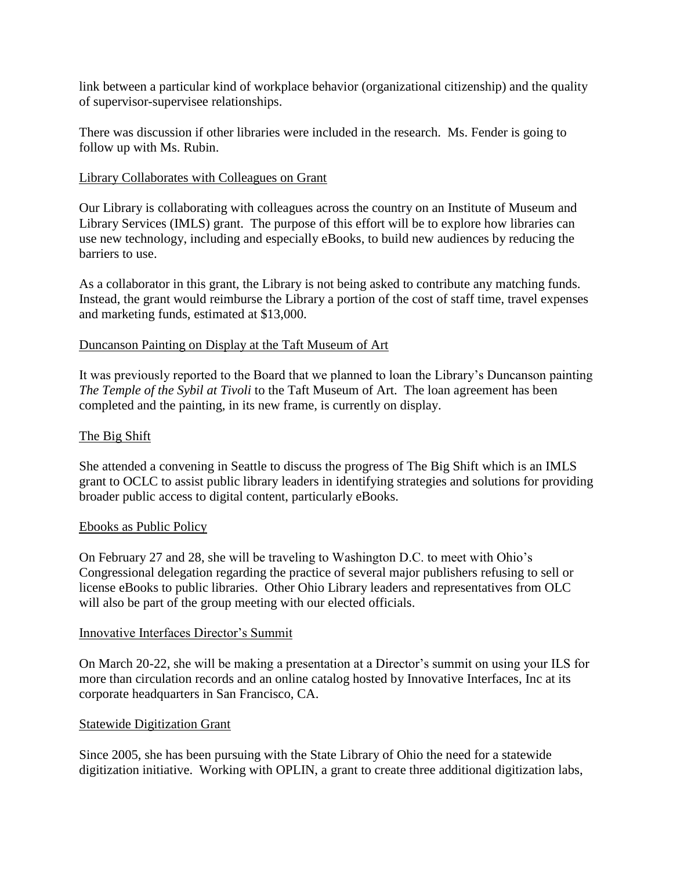link between a particular kind of workplace behavior (organizational citizenship) and the quality of supervisor-supervisee relationships.

There was discussion if other libraries were included in the research. Ms. Fender is going to follow up with Ms. Rubin.

## Library Collaborates with Colleagues on Grant

Our Library is collaborating with colleagues across the country on an Institute of Museum and Library Services (IMLS) grant. The purpose of this effort will be to explore how libraries can use new technology, including and especially eBooks, to build new audiences by reducing the barriers to use.

As a collaborator in this grant, the Library is not being asked to contribute any matching funds. Instead, the grant would reimburse the Library a portion of the cost of staff time, travel expenses and marketing funds, estimated at \$13,000.

# Duncanson Painting on Display at the Taft Museum of Art

It was previously reported to the Board that we planned to loan the Library's Duncanson painting *The Temple of the Sybil at Tivoli* to the Taft Museum of Art. The loan agreement has been completed and the painting, in its new frame, is currently on display.

# The Big Shift

She attended a convening in Seattle to discuss the progress of The Big Shift which is an IMLS grant to OCLC to assist public library leaders in identifying strategies and solutions for providing broader public access to digital content, particularly eBooks.

## Ebooks as Public Policy

On February 27 and 28, she will be traveling to Washington D.C. to meet with Ohio's Congressional delegation regarding the practice of several major publishers refusing to sell or license eBooks to public libraries. Other Ohio Library leaders and representatives from OLC will also be part of the group meeting with our elected officials.

## Innovative Interfaces Director's Summit

On March 20-22, she will be making a presentation at a Director's summit on using your ILS for more than circulation records and an online catalog hosted by Innovative Interfaces, Inc at its corporate headquarters in San Francisco, CA.

## Statewide Digitization Grant

Since 2005, she has been pursuing with the State Library of Ohio the need for a statewide digitization initiative. Working with OPLIN, a grant to create three additional digitization labs,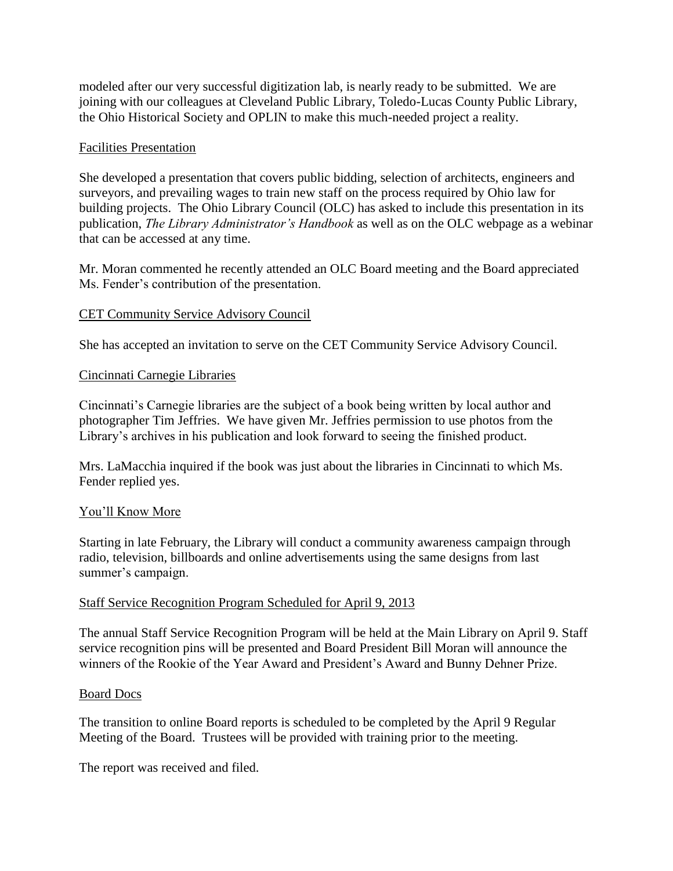modeled after our very successful digitization lab, is nearly ready to be submitted. We are joining with our colleagues at Cleveland Public Library, Toledo-Lucas County Public Library, the Ohio Historical Society and OPLIN to make this much-needed project a reality.

### Facilities Presentation

She developed a presentation that covers public bidding, selection of architects, engineers and surveyors, and prevailing wages to train new staff on the process required by Ohio law for building projects. The Ohio Library Council (OLC) has asked to include this presentation in its publication, *The Library Administrator's Handbook* as well as on the OLC webpage as a webinar that can be accessed at any time.

Mr. Moran commented he recently attended an OLC Board meeting and the Board appreciated Ms. Fender's contribution of the presentation.

## CET Community Service Advisory Council

She has accepted an invitation to serve on the CET Community Service Advisory Council.

## Cincinnati Carnegie Libraries

Cincinnati's Carnegie libraries are the subject of a book being written by local author and photographer Tim Jeffries. We have given Mr. Jeffries permission to use photos from the Library's archives in his publication and look forward to seeing the finished product.

Mrs. LaMacchia inquired if the book was just about the libraries in Cincinnati to which Ms. Fender replied yes.

## You'll Know More

Starting in late February, the Library will conduct a community awareness campaign through radio, television, billboards and online advertisements using the same designs from last summer's campaign.

## Staff Service Recognition Program Scheduled for April 9, 2013

The annual Staff Service Recognition Program will be held at the Main Library on April 9. Staff service recognition pins will be presented and Board President Bill Moran will announce the winners of the Rookie of the Year Award and President's Award and Bunny Dehner Prize.

## Board Docs

The transition to online Board reports is scheduled to be completed by the April 9 Regular Meeting of the Board. Trustees will be provided with training prior to the meeting.

The report was received and filed.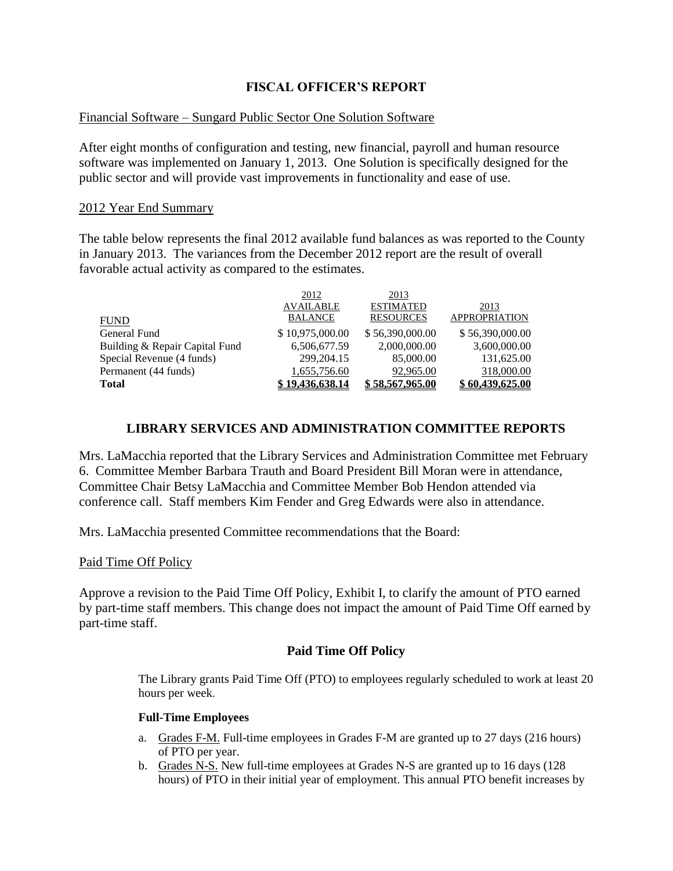## **FISCAL OFFICER'S REPORT**

### Financial Software – Sungard Public Sector One Solution Software

After eight months of configuration and testing, new financial, payroll and human resource software was implemented on January 1, 2013. One Solution is specifically designed for the public sector and will provide vast improvements in functionality and ease of use.

#### 2012 Year End Summary

The table below represents the final 2012 available fund balances as was reported to the County in January 2013. The variances from the December 2012 report are the result of overall favorable actual activity as compared to the estimates.

|                                | 2012             | 2013             |                      |
|--------------------------------|------------------|------------------|----------------------|
|                                | <b>AVAILABLE</b> | <b>ESTIMATED</b> | 2013                 |
| <b>FUND</b>                    | <b>BALANCE</b>   | <b>RESOURCES</b> | <b>APPROPRIATION</b> |
| General Fund                   | \$10,975,000.00  | \$56,390,000.00  | \$56,390,000.00      |
| Building & Repair Capital Fund | 6,506,677.59     | 2,000,000.00     | 3,600,000.00         |
| Special Revenue (4 funds)      | 299, 204. 15     | 85,000.00        | 131,625.00           |
| Permanent (44 funds)           | 1,655,756.60     | 92,965.00        | 318,000.00           |
| <b>Total</b>                   | 19.436.638.14    | \$58,567,965,00  | \$60,439,625.00      |

### **LIBRARY SERVICES AND ADMINISTRATION COMMITTEE REPORTS**

Mrs. LaMacchia reported that the Library Services and Administration Committee met February 6. Committee Member Barbara Trauth and Board President Bill Moran were in attendance, Committee Chair Betsy LaMacchia and Committee Member Bob Hendon attended via conference call. Staff members Kim Fender and Greg Edwards were also in attendance.

Mrs. LaMacchia presented Committee recommendations that the Board:

### Paid Time Off Policy

Approve a revision to the Paid Time Off Policy, Exhibit I, to clarify the amount of PTO earned by part-time staff members. This change does not impact the amount of Paid Time Off earned by part-time staff.

### **Paid Time Off Policy**

The Library grants Paid Time Off (PTO) to employees regularly scheduled to work at least 20 hours per week.

#### **Full-Time Employees**

- a. Grades F-M. Full-time employees in Grades F-M are granted up to 27 days (216 hours) of PTO per year.
- b. Grades N-S. New full-time employees at Grades N-S are granted up to 16 days (128 hours) of PTO in their initial year of employment. This annual PTO benefit increases by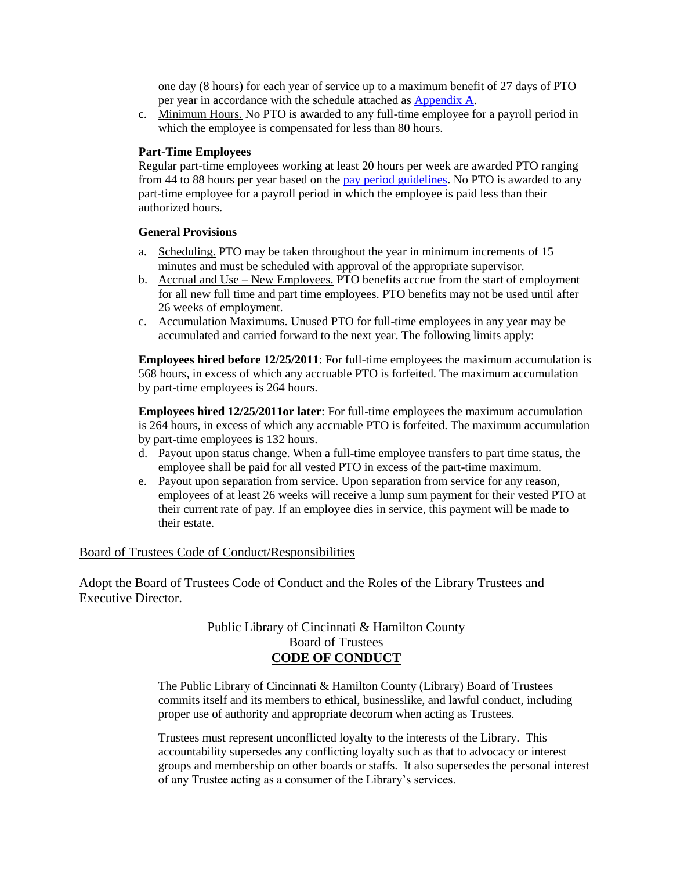one day (8 hours) for each year of service up to a maximum benefit of 27 days of PTO per year in accordance with the schedule attached as [Appendix A.](http://www.plch.net/userfiles/File/PoliciesandGuidelines/PTOSchedule.pdf)

c. Minimum Hours. No PTO is awarded to any full-time employee for a payroll period in which the employee is compensated for less than 80 hours.

#### **Part-Time Employees**

Regular part-time employees working at least 20 hours per week are awarded PTO ranging from 44 to 88 hours per year based on the [pay period guidelines.](http://www.plch.net/userfiles/File/HumanResources/Policies/PTOdistbypay.pdf) No PTO is awarded to any part-time employee for a payroll period in which the employee is paid less than their authorized hours.

#### **General Provisions**

- a. Scheduling. PTO may be taken throughout the year in minimum increments of 15 minutes and must be scheduled with approval of the appropriate supervisor.
- b. Accrual and Use New Employees. PTO benefits accrue from the start of employment for all new full time and part time employees. PTO benefits may not be used until after 26 weeks of employment.
- c. Accumulation Maximums. Unused PTO for full-time employees in any year may be accumulated and carried forward to the next year. The following limits apply:

**Employees hired before 12/25/2011**: For full-time employees the maximum accumulation is 568 hours, in excess of which any accruable PTO is forfeited. The maximum accumulation by part-time employees is 264 hours.

**Employees hired 12/25/2011or later**: For full-time employees the maximum accumulation is 264 hours, in excess of which any accruable PTO is forfeited. The maximum accumulation by part-time employees is 132 hours.

- d. Payout upon status change. When a full-time employee transfers to part time status, the employee shall be paid for all vested PTO in excess of the part-time maximum.
- e. Payout upon separation from service. Upon separation from service for any reason, employees of at least 26 weeks will receive a lump sum payment for their vested PTO at their current rate of pay. If an employee dies in service, this payment will be made to their estate.

### Board of Trustees Code of Conduct/Responsibilities

Adopt the Board of Trustees Code of Conduct and the Roles of the Library Trustees and Executive Director.

### Public Library of Cincinnati & Hamilton County Board of Trustees **CODE OF CONDUCT**

The Public Library of Cincinnati & Hamilton County (Library) Board of Trustees commits itself and its members to ethical, businesslike, and lawful conduct, including proper use of authority and appropriate decorum when acting as Trustees.

Trustees must represent unconflicted loyalty to the interests of the Library. This accountability supersedes any conflicting loyalty such as that to advocacy or interest groups and membership on other boards or staffs. It also supersedes the personal interest of any Trustee acting as a consumer of the Library's services.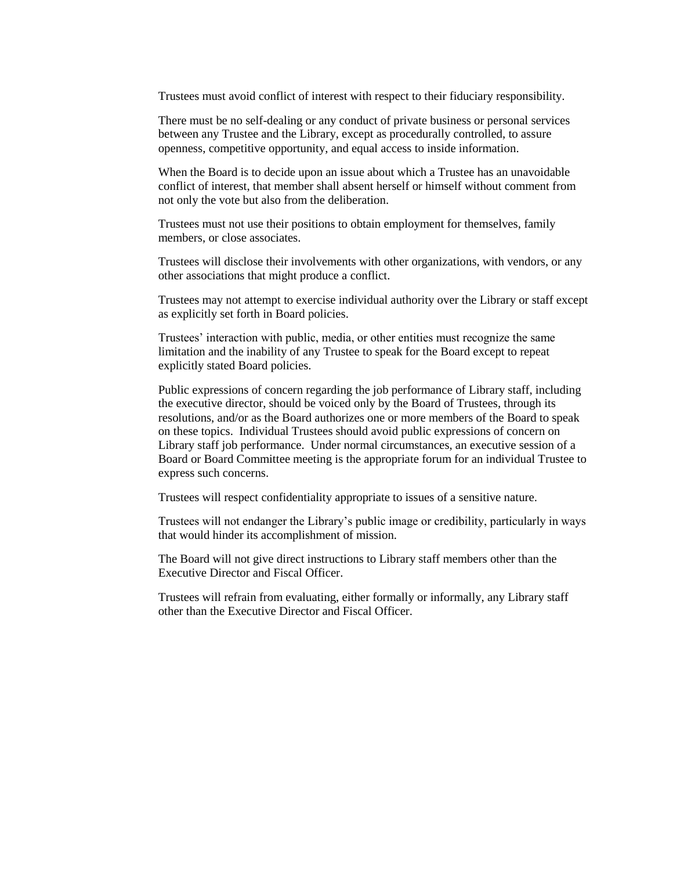Trustees must avoid conflict of interest with respect to their fiduciary responsibility.

There must be no self-dealing or any conduct of private business or personal services between any Trustee and the Library, except as procedurally controlled, to assure openness, competitive opportunity, and equal access to inside information.

When the Board is to decide upon an issue about which a Trustee has an unavoidable conflict of interest, that member shall absent herself or himself without comment from not only the vote but also from the deliberation.

Trustees must not use their positions to obtain employment for themselves, family members, or close associates.

Trustees will disclose their involvements with other organizations, with vendors, or any other associations that might produce a conflict.

Trustees may not attempt to exercise individual authority over the Library or staff except as explicitly set forth in Board policies.

Trustees' interaction with public, media, or other entities must recognize the same limitation and the inability of any Trustee to speak for the Board except to repeat explicitly stated Board policies.

Public expressions of concern regarding the job performance of Library staff, including the executive director, should be voiced only by the Board of Trustees, through its resolutions, and/or as the Board authorizes one or more members of the Board to speak on these topics. Individual Trustees should avoid public expressions of concern on Library staff job performance. Under normal circumstances, an executive session of a Board or Board Committee meeting is the appropriate forum for an individual Trustee to express such concerns.

Trustees will respect confidentiality appropriate to issues of a sensitive nature.

Trustees will not endanger the Library's public image or credibility, particularly in ways that would hinder its accomplishment of mission.

The Board will not give direct instructions to Library staff members other than the Executive Director and Fiscal Officer.

Trustees will refrain from evaluating, either formally or informally, any Library staff other than the Executive Director and Fiscal Officer.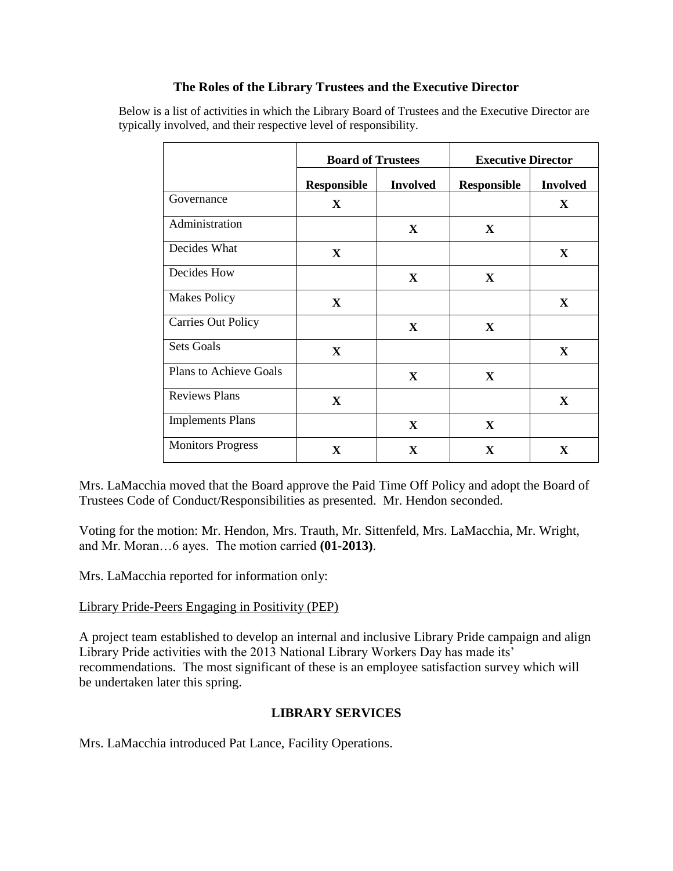## **The Roles of the Library Trustees and the Executive Director**

Below is a list of activities in which the Library Board of Trustees and the Executive Director are typically involved, and their respective level of responsibility.

|                               | <b>Board of Trustees</b> |                 | <b>Executive Director</b> |                 |  |
|-------------------------------|--------------------------|-----------------|---------------------------|-----------------|--|
|                               | <b>Responsible</b>       | <b>Involved</b> | <b>Responsible</b>        | <b>Involved</b> |  |
| Governance                    | $\mathbf{X}$             |                 |                           | $\mathbf X$     |  |
| Administration                |                          | $\mathbf{X}$    | $\mathbf{X}$              |                 |  |
| Decides What                  | $\mathbf X$              |                 |                           | $\mathbf{X}$    |  |
| Decides How                   |                          | $\mathbf{X}$    | $\mathbf{X}$              |                 |  |
| <b>Makes Policy</b>           | X                        |                 |                           | $\mathbf{X}$    |  |
| <b>Carries Out Policy</b>     |                          | $\mathbf{X}$    | $\mathbf{X}$              |                 |  |
| <b>Sets Goals</b>             | X                        |                 |                           | $\mathbf X$     |  |
| <b>Plans to Achieve Goals</b> |                          | $\mathbf{X}$    | $\mathbf X$               |                 |  |
| <b>Reviews Plans</b>          | $\mathbf X$              |                 |                           | $\mathbf{X}$    |  |
| <b>Implements Plans</b>       |                          | $\mathbf{X}$    | $\mathbf{X}$              |                 |  |
| <b>Monitors Progress</b>      | $\mathbf X$              | $\mathbf{X}$    | $\mathbf X$               | X               |  |

Mrs. LaMacchia moved that the Board approve the Paid Time Off Policy and adopt the Board of Trustees Code of Conduct/Responsibilities as presented. Mr. Hendon seconded.

Voting for the motion: Mr. Hendon, Mrs. Trauth, Mr. Sittenfeld, Mrs. LaMacchia, Mr. Wright, and Mr. Moran…6 ayes. The motion carried **(01-2013)**.

Mrs. LaMacchia reported for information only:

### Library Pride-Peers Engaging in Positivity (PEP)

A project team established to develop an internal and inclusive Library Pride campaign and align Library Pride activities with the 2013 National Library Workers Day has made its' recommendations. The most significant of these is an employee satisfaction survey which will be undertaken later this spring.

## **LIBRARY SERVICES**

Mrs. LaMacchia introduced Pat Lance, Facility Operations.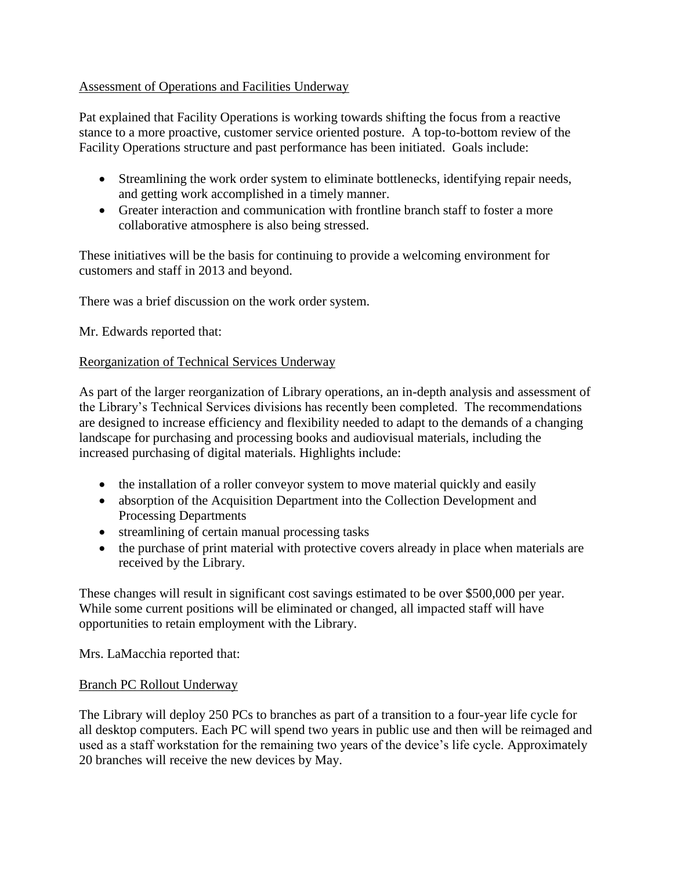## Assessment of Operations and Facilities Underway

Pat explained that Facility Operations is working towards shifting the focus from a reactive stance to a more proactive, customer service oriented posture. A top-to-bottom review of the Facility Operations structure and past performance has been initiated. Goals include:

- Streamlining the work order system to eliminate bottlenecks, identifying repair needs, and getting work accomplished in a timely manner.
- Greater interaction and communication with frontline branch staff to foster a more collaborative atmosphere is also being stressed.

These initiatives will be the basis for continuing to provide a welcoming environment for customers and staff in 2013 and beyond.

There was a brief discussion on the work order system.

Mr. Edwards reported that:

### Reorganization of Technical Services Underway

As part of the larger reorganization of Library operations, an in-depth analysis and assessment of the Library's Technical Services divisions has recently been completed. The recommendations are designed to increase efficiency and flexibility needed to adapt to the demands of a changing landscape for purchasing and processing books and audiovisual materials, including the increased purchasing of digital materials. Highlights include:

- the installation of a roller conveyor system to move material quickly and easily
- absorption of the Acquisition Department into the Collection Development and Processing Departments
- streamlining of certain manual processing tasks
- the purchase of print material with protective covers already in place when materials are received by the Library.

These changes will result in significant cost savings estimated to be over \$500,000 per year. While some current positions will be eliminated or changed, all impacted staff will have opportunities to retain employment with the Library.

Mrs. LaMacchia reported that:

### Branch PC Rollout Underway

The Library will deploy 250 PCs to branches as part of a transition to a four-year life cycle for all desktop computers. Each PC will spend two years in public use and then will be reimaged and used as a staff workstation for the remaining two years of the device's life cycle. Approximately 20 branches will receive the new devices by May.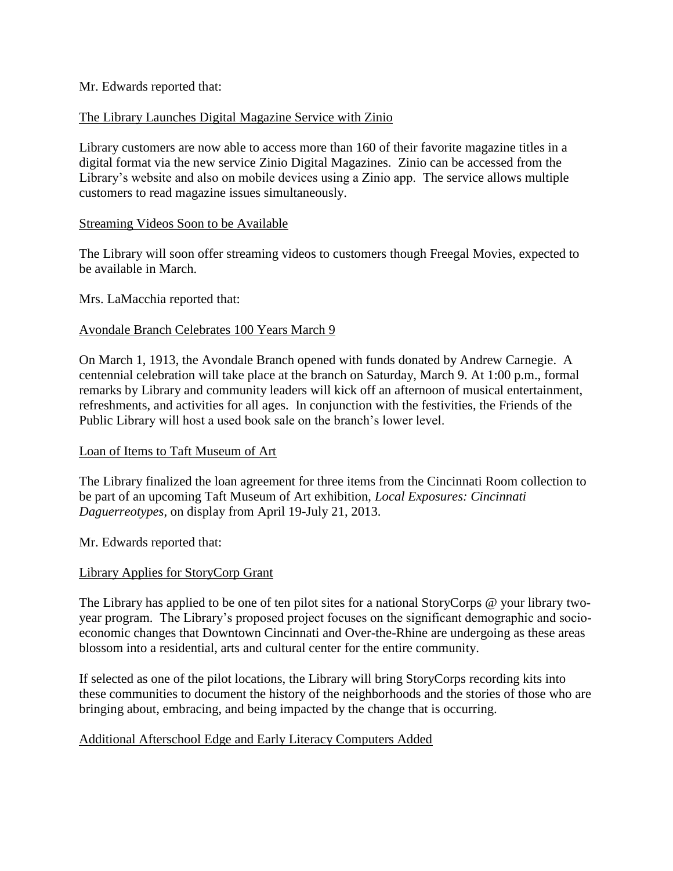### Mr. Edwards reported that:

### The Library Launches Digital Magazine Service with Zinio

Library customers are now able to access more than 160 of their favorite magazine titles in a digital format via the new service Zinio Digital Magazines. Zinio can be accessed from the Library's website and also on mobile devices using a Zinio app. The service allows multiple customers to read magazine issues simultaneously.

### Streaming Videos Soon to be Available

The Library will soon offer streaming videos to customers though Freegal Movies, expected to be available in March.

Mrs. LaMacchia reported that:

### Avondale Branch Celebrates 100 Years March 9

On March 1, 1913, the Avondale Branch opened with funds donated by Andrew Carnegie. A centennial celebration will take place at the branch on Saturday, March 9. At 1:00 p.m., formal remarks by Library and community leaders will kick off an afternoon of musical entertainment, refreshments, and activities for all ages. In conjunction with the festivities, the Friends of the Public Library will host a used book sale on the branch's lower level.

### Loan of Items to Taft Museum of Art

The Library finalized the loan agreement for three items from the Cincinnati Room collection to be part of an upcoming Taft Museum of Art exhibition, *Local Exposures: Cincinnati Daguerreotypes*, on display from April 19-July 21, 2013.

Mr. Edwards reported that:

## Library Applies for StoryCorp Grant

The Library has applied to be one of ten pilot sites for a national StoryCorps @ your library twoyear program. The Library's proposed project focuses on the significant demographic and socioeconomic changes that Downtown Cincinnati and Over-the-Rhine are undergoing as these areas blossom into a residential, arts and cultural center for the entire community.

If selected as one of the pilot locations, the Library will bring StoryCorps recording kits into these communities to document the history of the neighborhoods and the stories of those who are bringing about, embracing, and being impacted by the change that is occurring.

## Additional Afterschool Edge and Early Literacy Computers Added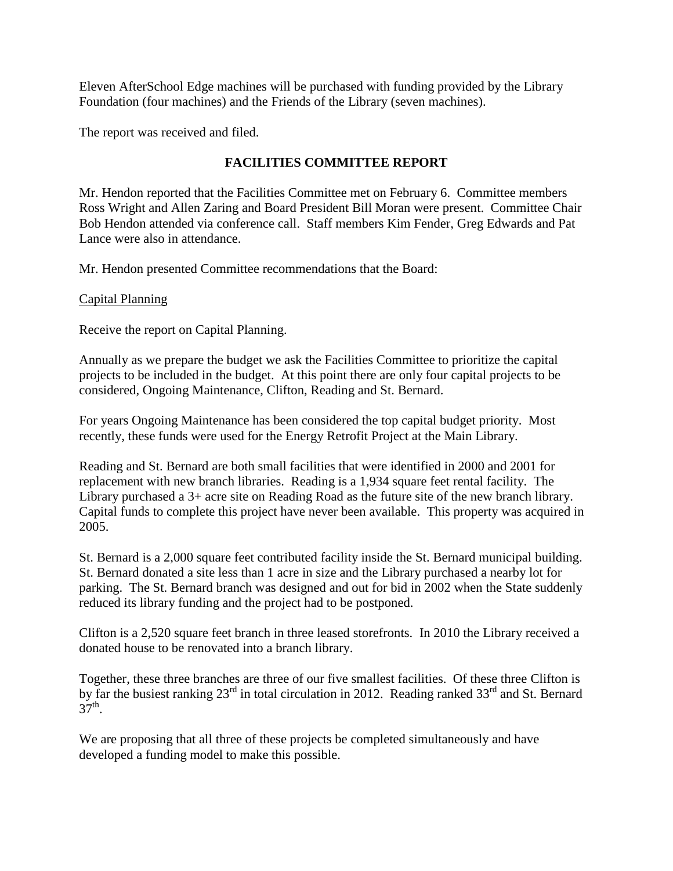Eleven AfterSchool Edge machines will be purchased with funding provided by the Library Foundation (four machines) and the Friends of the Library (seven machines).

The report was received and filed.

# **FACILITIES COMMITTEE REPORT**

Mr. Hendon reported that the Facilities Committee met on February 6. Committee members Ross Wright and Allen Zaring and Board President Bill Moran were present. Committee Chair Bob Hendon attended via conference call. Staff members Kim Fender, Greg Edwards and Pat Lance were also in attendance.

Mr. Hendon presented Committee recommendations that the Board:

### Capital Planning

Receive the report on Capital Planning.

Annually as we prepare the budget we ask the Facilities Committee to prioritize the capital projects to be included in the budget. At this point there are only four capital projects to be considered, Ongoing Maintenance, Clifton, Reading and St. Bernard.

For years Ongoing Maintenance has been considered the top capital budget priority. Most recently, these funds were used for the Energy Retrofit Project at the Main Library.

Reading and St. Bernard are both small facilities that were identified in 2000 and 2001 for replacement with new branch libraries. Reading is a 1,934 square feet rental facility. The Library purchased a 3+ acre site on Reading Road as the future site of the new branch library. Capital funds to complete this project have never been available. This property was acquired in 2005.

St. Bernard is a 2,000 square feet contributed facility inside the St. Bernard municipal building. St. Bernard donated a site less than 1 acre in size and the Library purchased a nearby lot for parking. The St. Bernard branch was designed and out for bid in 2002 when the State suddenly reduced its library funding and the project had to be postponed.

Clifton is a 2,520 square feet branch in three leased storefronts. In 2010 the Library received a donated house to be renovated into a branch library.

Together, these three branches are three of our five smallest facilities. Of these three Clifton is by far the busiest ranking 23<sup>rd</sup> in total circulation in 2012. Reading ranked 33<sup>rd</sup> and St. Bernard  $37^{\text{th}}$ .

We are proposing that all three of these projects be completed simultaneously and have developed a funding model to make this possible.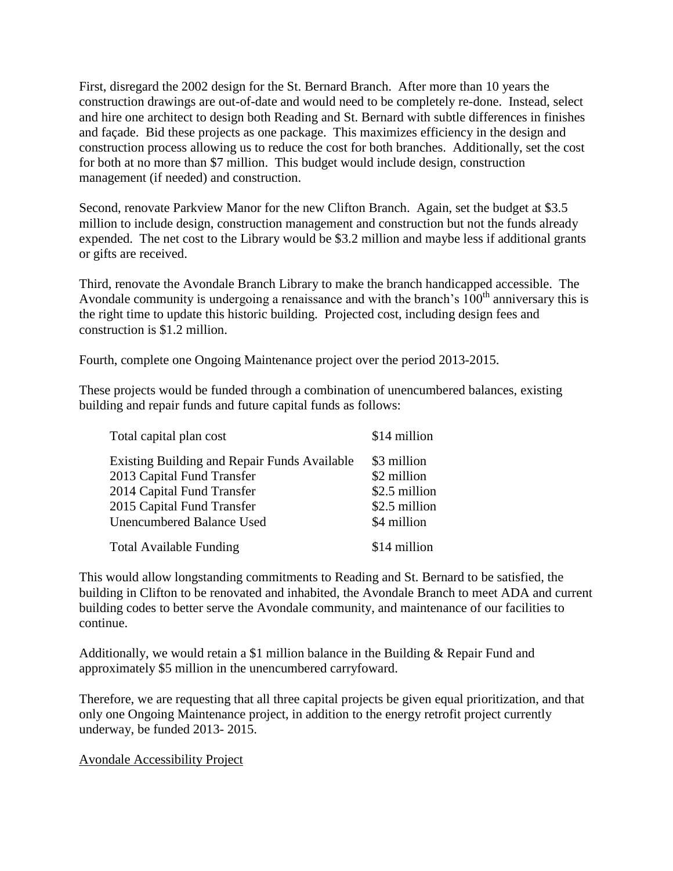First, disregard the 2002 design for the St. Bernard Branch. After more than 10 years the construction drawings are out-of-date and would need to be completely re-done. Instead, select and hire one architect to design both Reading and St. Bernard with subtle differences in finishes and façade. Bid these projects as one package. This maximizes efficiency in the design and construction process allowing us to reduce the cost for both branches. Additionally, set the cost for both at no more than \$7 million. This budget would include design, construction management (if needed) and construction.

Second, renovate Parkview Manor for the new Clifton Branch. Again, set the budget at \$3.5 million to include design, construction management and construction but not the funds already expended. The net cost to the Library would be \$3.2 million and maybe less if additional grants or gifts are received.

Third, renovate the Avondale Branch Library to make the branch handicapped accessible. The Avondale community is undergoing a renaissance and with the branch's  $100<sup>th</sup>$  anniversary this is the right time to update this historic building. Projected cost, including design fees and construction is \$1.2 million.

Fourth, complete one Ongoing Maintenance project over the period 2013-2015.

These projects would be funded through a combination of unencumbered balances, existing building and repair funds and future capital funds as follows:

| Total capital plan cost                                                                                                                                                    | \$14 million                                                                |
|----------------------------------------------------------------------------------------------------------------------------------------------------------------------------|-----------------------------------------------------------------------------|
| Existing Building and Repair Funds Available<br>2013 Capital Fund Transfer<br>2014 Capital Fund Transfer<br>2015 Capital Fund Transfer<br><b>Unencumbered Balance Used</b> | \$3 million<br>\$2 million<br>\$2.5 million<br>\$2.5 million<br>\$4 million |
| <b>Total Available Funding</b>                                                                                                                                             | \$14 million                                                                |

This would allow longstanding commitments to Reading and St. Bernard to be satisfied, the building in Clifton to be renovated and inhabited, the Avondale Branch to meet ADA and current building codes to better serve the Avondale community, and maintenance of our facilities to continue.

Additionally, we would retain a \$1 million balance in the Building & Repair Fund and approximately \$5 million in the unencumbered carryfoward.

Therefore, we are requesting that all three capital projects be given equal prioritization, and that only one Ongoing Maintenance project, in addition to the energy retrofit project currently underway, be funded 2013- 2015.

Avondale Accessibility Project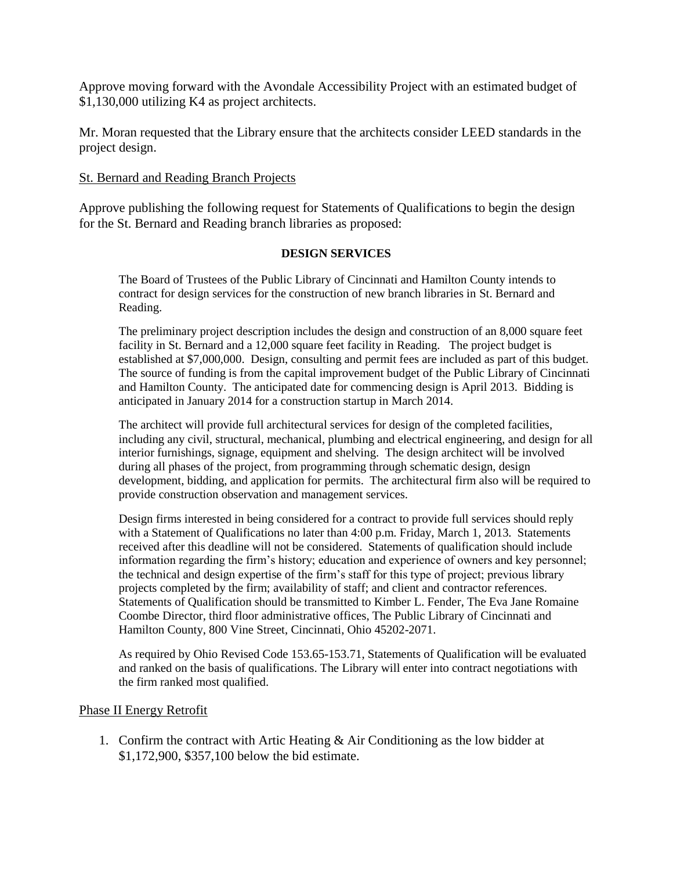Approve moving forward with the Avondale Accessibility Project with an estimated budget of \$1,130,000 utilizing K4 as project architects.

Mr. Moran requested that the Library ensure that the architects consider LEED standards in the project design.

### St. Bernard and Reading Branch Projects

Approve publishing the following request for Statements of Qualifications to begin the design for the St. Bernard and Reading branch libraries as proposed:

#### **DESIGN SERVICES**

The Board of Trustees of the Public Library of Cincinnati and Hamilton County intends to contract for design services for the construction of new branch libraries in St. Bernard and Reading.

The preliminary project description includes the design and construction of an 8,000 square feet facility in St. Bernard and a 12,000 square feet facility in Reading. The project budget is established at \$7,000,000. Design, consulting and permit fees are included as part of this budget. The source of funding is from the capital improvement budget of the Public Library of Cincinnati and Hamilton County. The anticipated date for commencing design is April 2013. Bidding is anticipated in January 2014 for a construction startup in March 2014.

The architect will provide full architectural services for design of the completed facilities, including any civil, structural, mechanical, plumbing and electrical engineering, and design for all interior furnishings, signage, equipment and shelving. The design architect will be involved during all phases of the project, from programming through schematic design, design development, bidding, and application for permits. The architectural firm also will be required to provide construction observation and management services.

Design firms interested in being considered for a contract to provide full services should reply with a Statement of Qualifications no later than 4:00 p.m. Friday, March 1, 2013. Statements received after this deadline will not be considered. Statements of qualification should include information regarding the firm's history; education and experience of owners and key personnel; the technical and design expertise of the firm's staff for this type of project; previous library projects completed by the firm; availability of staff; and client and contractor references. Statements of Qualification should be transmitted to Kimber L. Fender, The Eva Jane Romaine Coombe Director, third floor administrative offices, The Public Library of Cincinnati and Hamilton County, 800 Vine Street, Cincinnati, Ohio 45202-2071.

As required by Ohio Revised Code 153.65-153.71, Statements of Qualification will be evaluated and ranked on the basis of qualifications. The Library will enter into contract negotiations with the firm ranked most qualified.

### Phase II Energy Retrofit

1. Confirm the contract with Artic Heating & Air Conditioning as the low bidder at \$1,172,900, \$357,100 below the bid estimate.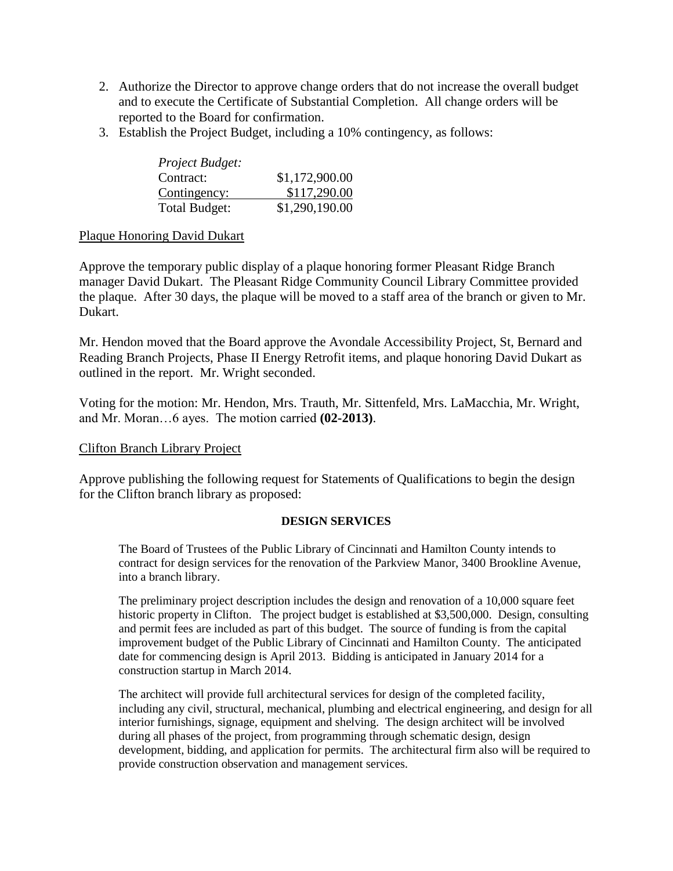- 2. Authorize the Director to approve change orders that do not increase the overall budget and to execute the Certificate of Substantial Completion. All change orders will be reported to the Board for confirmation.
- 3. Establish the Project Budget, including a 10% contingency, as follows:

| Project Budget: |                |
|-----------------|----------------|
| Contract:       | \$1,172,900.00 |
| Contingency:    | \$117,290.00   |
| Total Budget:   | \$1,290,190.00 |

### Plaque Honoring David Dukart

Approve the temporary public display of a plaque honoring former Pleasant Ridge Branch manager David Dukart. The Pleasant Ridge Community Council Library Committee provided the plaque. After 30 days, the plaque will be moved to a staff area of the branch or given to Mr. Dukart.

Mr. Hendon moved that the Board approve the Avondale Accessibility Project, St, Bernard and Reading Branch Projects, Phase II Energy Retrofit items, and plaque honoring David Dukart as outlined in the report. Mr. Wright seconded.

Voting for the motion: Mr. Hendon, Mrs. Trauth, Mr. Sittenfeld, Mrs. LaMacchia, Mr. Wright, and Mr. Moran…6 ayes. The motion carried **(02-2013)**.

## Clifton Branch Library Project

Approve publishing the following request for Statements of Qualifications to begin the design for the Clifton branch library as proposed:

### **DESIGN SERVICES**

The Board of Trustees of the Public Library of Cincinnati and Hamilton County intends to contract for design services for the renovation of the Parkview Manor, 3400 Brookline Avenue, into a branch library.

The preliminary project description includes the design and renovation of a 10,000 square feet historic property in Clifton. The project budget is established at \$3,500,000. Design, consulting and permit fees are included as part of this budget. The source of funding is from the capital improvement budget of the Public Library of Cincinnati and Hamilton County. The anticipated date for commencing design is April 2013. Bidding is anticipated in January 2014 for a construction startup in March 2014.

The architect will provide full architectural services for design of the completed facility, including any civil, structural, mechanical, plumbing and electrical engineering, and design for all interior furnishings, signage, equipment and shelving. The design architect will be involved during all phases of the project, from programming through schematic design, design development, bidding, and application for permits. The architectural firm also will be required to provide construction observation and management services.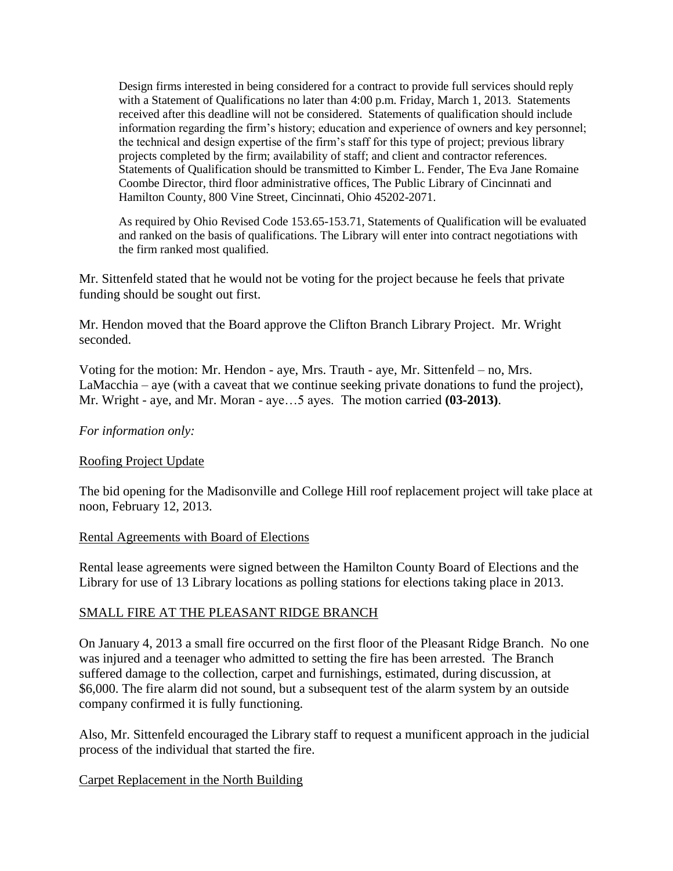Design firms interested in being considered for a contract to provide full services should reply with a Statement of Qualifications no later than 4:00 p.m. Friday, March 1, 2013. Statements received after this deadline will not be considered. Statements of qualification should include information regarding the firm's history; education and experience of owners and key personnel; the technical and design expertise of the firm's staff for this type of project; previous library projects completed by the firm; availability of staff; and client and contractor references. Statements of Qualification should be transmitted to Kimber L. Fender, The Eva Jane Romaine Coombe Director, third floor administrative offices, The Public Library of Cincinnati and Hamilton County, 800 Vine Street, Cincinnati, Ohio 45202-2071.

As required by Ohio Revised Code 153.65-153.71, Statements of Qualification will be evaluated and ranked on the basis of qualifications. The Library will enter into contract negotiations with the firm ranked most qualified.

Mr. Sittenfeld stated that he would not be voting for the project because he feels that private funding should be sought out first.

Mr. Hendon moved that the Board approve the Clifton Branch Library Project. Mr. Wright seconded.

Voting for the motion: Mr. Hendon - aye, Mrs. Trauth - aye, Mr. Sittenfeld – no, Mrs. LaMacchia – aye (with a caveat that we continue seeking private donations to fund the project), Mr. Wright - aye, and Mr. Moran - aye…5 ayes. The motion carried **(03-2013)**.

### *For information only:*

### Roofing Project Update

The bid opening for the Madisonville and College Hill roof replacement project will take place at noon, February 12, 2013.

#### Rental Agreements with Board of Elections

Rental lease agreements were signed between the Hamilton County Board of Elections and the Library for use of 13 Library locations as polling stations for elections taking place in 2013.

### SMALL FIRE AT THE PLEASANT RIDGE BRANCH

On January 4, 2013 a small fire occurred on the first floor of the Pleasant Ridge Branch. No one was injured and a teenager who admitted to setting the fire has been arrested. The Branch suffered damage to the collection, carpet and furnishings, estimated, during discussion, at \$6,000. The fire alarm did not sound, but a subsequent test of the alarm system by an outside company confirmed it is fully functioning.

Also, Mr. Sittenfeld encouraged the Library staff to request a munificent approach in the judicial process of the individual that started the fire.

### Carpet Replacement in the North Building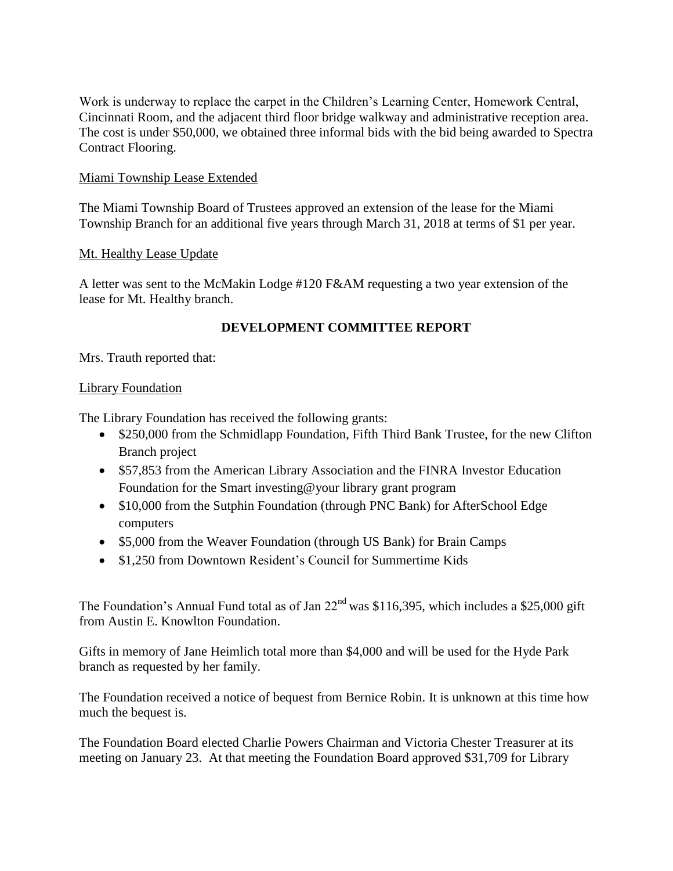Work is underway to replace the carpet in the Children's Learning Center, Homework Central, Cincinnati Room, and the adjacent third floor bridge walkway and administrative reception area. The cost is under \$50,000, we obtained three informal bids with the bid being awarded to Spectra Contract Flooring.

### Miami Township Lease Extended

The Miami Township Board of Trustees approved an extension of the lease for the Miami Township Branch for an additional five years through March 31, 2018 at terms of \$1 per year.

### Mt. Healthy Lease Update

A letter was sent to the McMakin Lodge #120 F&AM requesting a two year extension of the lease for Mt. Healthy branch.

# **DEVELOPMENT COMMITTEE REPORT**

Mrs. Trauth reported that:

### Library Foundation

The Library Foundation has received the following grants:

- \$250,000 from the Schmidlapp Foundation, Fifth Third Bank Trustee, for the new Clifton Branch project
- \$57,853 from the American Library Association and the FINRA Investor Education Foundation for the Smart investing@your library grant program
- \$10,000 from the Sutphin Foundation (through PNC Bank) for AfterSchool Edge computers
- \$5,000 from the Weaver Foundation (through US Bank) for Brain Camps
- \$1,250 from Downtown Resident's Council for Summertime Kids

The Foundation's Annual Fund total as of Jan  $22<sup>nd</sup>$  was \$116,395, which includes a \$25,000 gift from Austin E. Knowlton Foundation.

Gifts in memory of Jane Heimlich total more than \$4,000 and will be used for the Hyde Park branch as requested by her family.

The Foundation received a notice of bequest from Bernice Robin. It is unknown at this time how much the bequest is.

The Foundation Board elected Charlie Powers Chairman and Victoria Chester Treasurer at its meeting on January 23. At that meeting the Foundation Board approved \$31,709 for Library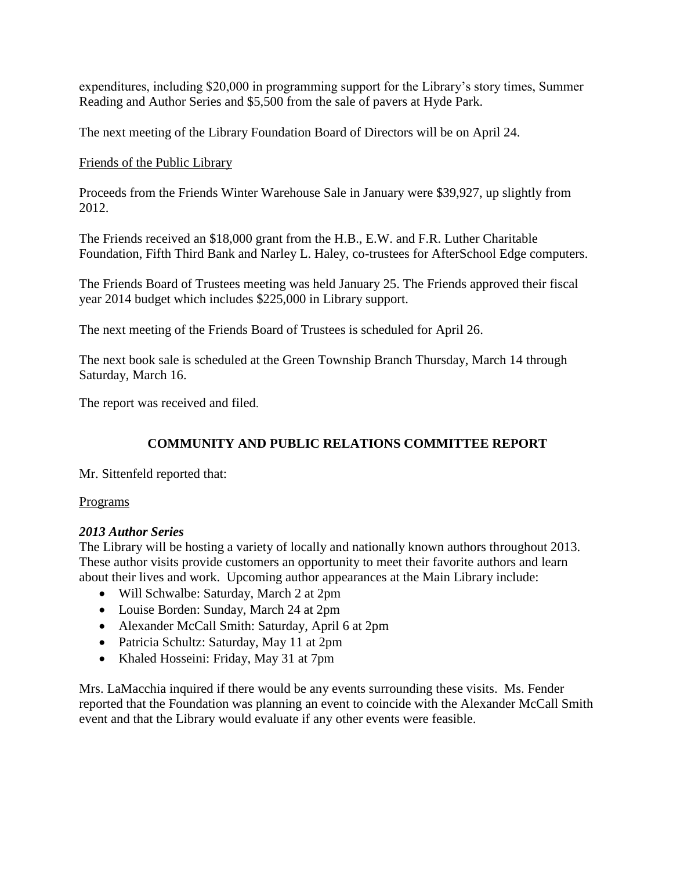expenditures, including \$20,000 in programming support for the Library's story times, Summer Reading and Author Series and \$5,500 from the sale of pavers at Hyde Park.

The next meeting of the Library Foundation Board of Directors will be on April 24.

# Friends of the Public Library

Proceeds from the Friends Winter Warehouse Sale in January were \$39,927, up slightly from 2012.

The Friends received an \$18,000 grant from the H.B., E.W. and F.R. Luther Charitable Foundation, Fifth Third Bank and Narley L. Haley, co-trustees for AfterSchool Edge computers.

The Friends Board of Trustees meeting was held January 25. The Friends approved their fiscal year 2014 budget which includes \$225,000 in Library support.

The next meeting of the Friends Board of Trustees is scheduled for April 26.

The next book sale is scheduled at the Green Township Branch Thursday, March 14 through Saturday, March 16.

The report was received and filed.

# **COMMUNITY AND PUBLIC RELATIONS COMMITTEE REPORT**

Mr. Sittenfeld reported that:

## Programs

# *2013 Author Series*

The Library will be hosting a variety of locally and nationally known authors throughout 2013. These author visits provide customers an opportunity to meet their favorite authors and learn about their lives and work. Upcoming author appearances at the Main Library include:

- Will Schwalbe: Saturday, March 2 at 2pm
- Louise Borden: Sunday, March 24 at 2pm
- Alexander McCall Smith: Saturday, April 6 at 2pm
- Patricia Schultz: Saturday, May 11 at 2pm
- Khaled Hosseini: Friday, May 31 at 7pm

Mrs. LaMacchia inquired if there would be any events surrounding these visits. Ms. Fender reported that the Foundation was planning an event to coincide with the Alexander McCall Smith event and that the Library would evaluate if any other events were feasible.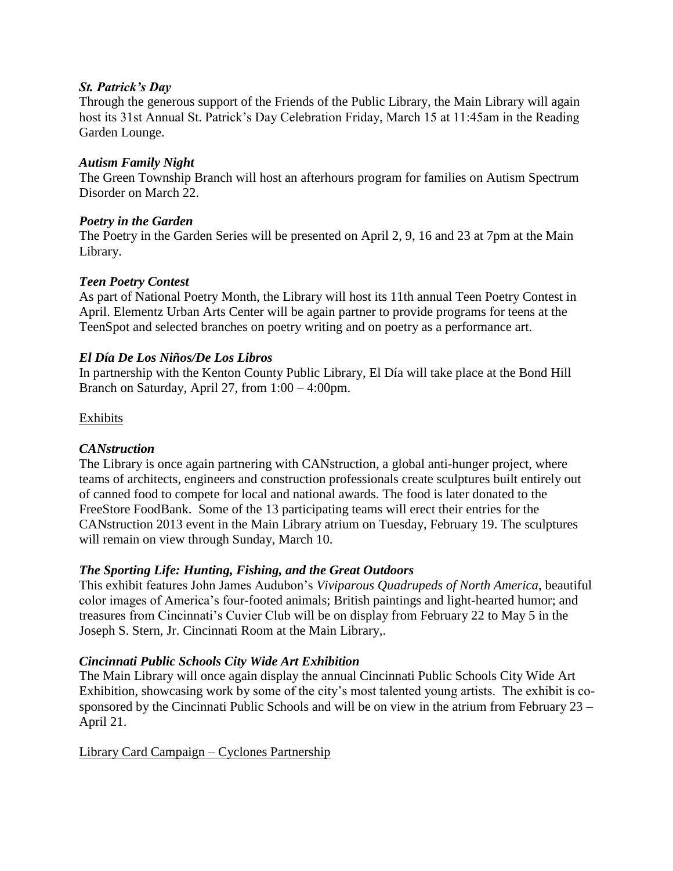### *St. Patrick's Day*

Through the generous support of the Friends of the Public Library, the Main Library will again host its 31st Annual St. Patrick's Day Celebration Friday, March 15 at 11:45am in the Reading Garden Lounge.

## *Autism Family Night*

The Green Township Branch will host an afterhours program for families on Autism Spectrum Disorder on March 22.

### *Poetry in the Garden*

The Poetry in the Garden Series will be presented on April 2, 9, 16 and 23 at 7pm at the Main Library.

## *Teen Poetry Contest*

As part of National Poetry Month, the Library will host its 11th annual Teen Poetry Contest in April. Elementz Urban Arts Center will be again partner to provide programs for teens at the TeenSpot and selected branches on poetry writing and on poetry as a performance art.

### *El Día De Los Niños/De Los Libros*

In partnership with the Kenton County Public Library, El Día will take place at the Bond Hill Branch on Saturday, April 27, from 1:00 – 4:00pm.

### Exhibits

## *CANstruction*

The Library is once again partnering with CANstruction, a global anti-hunger project, where teams of architects, engineers and construction professionals create sculptures built entirely out of canned food to compete for local and national awards. The food is later donated to the FreeStore FoodBank. Some of the 13 participating teams will erect their entries for the CANstruction 2013 event in the Main Library atrium on Tuesday, February 19. The sculptures will remain on view through Sunday, March 10.

## *The Sporting Life: Hunting, Fishing, and the Great Outdoors*

This exhibit features John James Audubon's *Viviparous Quadrupeds of North America*, beautiful color images of America's four-footed animals; British paintings and light-hearted humor; and treasures from Cincinnati's Cuvier Club will be on display from February 22 to May 5 in the Joseph S. Stern, Jr. Cincinnati Room at the Main Library,.

## *Cincinnati Public Schools City Wide Art Exhibition*

The Main Library will once again display the annual Cincinnati Public Schools City Wide Art Exhibition, showcasing work by some of the city's most talented young artists. The exhibit is cosponsored by the Cincinnati Public Schools and will be on view in the atrium from February 23 – April 21.

### Library Card Campaign – Cyclones Partnership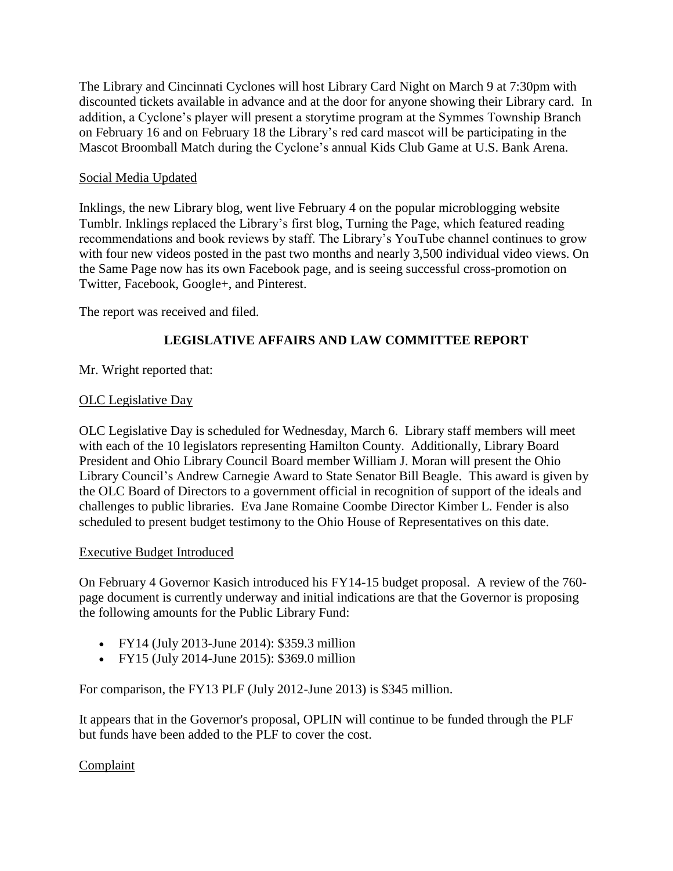The Library and Cincinnati Cyclones will host Library Card Night on March 9 at 7:30pm with discounted tickets available in advance and at the door for anyone showing their Library card. In addition, a Cyclone's player will present a storytime program at the Symmes Township Branch on February 16 and on February 18 the Library's red card mascot will be participating in the Mascot Broomball Match during the Cyclone's annual Kids Club Game at U.S. Bank Arena.

## Social Media Updated

Inklings, the new Library blog, went live February 4 on the popular microblogging website Tumblr. Inklings replaced the Library's first blog, Turning the Page, which featured reading recommendations and book reviews by staff. The Library's YouTube channel continues to grow with four new videos posted in the past two months and nearly 3,500 individual video views. On the Same Page now has its own Facebook page, and is seeing successful cross-promotion on Twitter, Facebook, Google+, and Pinterest.

The report was received and filed.

# **LEGISLATIVE AFFAIRS AND LAW COMMITTEE REPORT**

# Mr. Wright reported that:

## OLC Legislative Day

OLC Legislative Day is scheduled for Wednesday, March 6. Library staff members will meet with each of the 10 legislators representing Hamilton County. Additionally, Library Board President and Ohio Library Council Board member William J. Moran will present the Ohio Library Council's Andrew Carnegie Award to State Senator Bill Beagle. This award is given by the OLC Board of Directors to a government official in recognition of support of the ideals and challenges to public libraries. Eva Jane Romaine Coombe Director Kimber L. Fender is also scheduled to present budget testimony to the Ohio House of Representatives on this date.

## Executive Budget Introduced

On February 4 Governor Kasich introduced his FY14-15 budget proposal. A review of the 760 page document is currently underway and initial indications are that the Governor is proposing the following amounts for the Public Library Fund:

- FY14 (July 2013-June 2014): \$359.3 million
- FY15 (July 2014-June 2015): \$369.0 million

For comparison, the FY13 PLF (July 2012-June 2013) is \$345 million.

It appears that in the Governor's proposal, OPLIN will continue to be funded through the PLF but funds have been added to the PLF to cover the cost.

## Complaint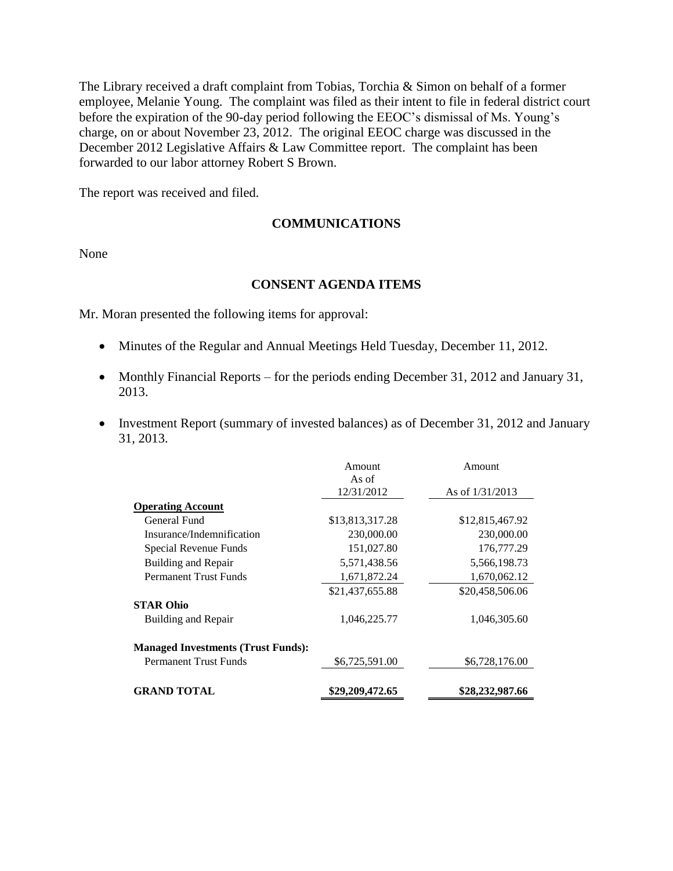The Library received a draft complaint from Tobias, Torchia & Simon on behalf of a former employee, Melanie Young. The complaint was filed as their intent to file in federal district court before the expiration of the 90-day period following the EEOC's dismissal of Ms. Young's charge, on or about November 23, 2012. The original EEOC charge was discussed in the December 2012 Legislative Affairs & Law Committee report. The complaint has been forwarded to our labor attorney Robert S Brown.

The report was received and filed.

### **COMMUNICATIONS**

None

#### **CONSENT AGENDA ITEMS**

Mr. Moran presented the following items for approval:

- Minutes of the Regular and Annual Meetings Held Tuesday, December 11, 2012.
- Monthly Financial Reports for the periods ending December 31, 2012 and January 31, 2013.
- Investment Report (summary of invested balances) as of December 31, 2012 and January 31, 2013.

|                                           | Amount<br>As of | Amount            |
|-------------------------------------------|-----------------|-------------------|
|                                           | 12/31/2012      | As of $1/31/2013$ |
| <b>Operating Account</b>                  |                 |                   |
| General Fund                              | \$13,813,317.28 | \$12,815,467.92   |
| Insurance/Indemnification                 | 230,000.00      | 230,000.00        |
| Special Revenue Funds                     | 151,027.80      | 176,777.29        |
| <b>Building and Repair</b>                | 5,571,438.56    | 5,566,198.73      |
| <b>Permanent Trust Funds</b>              | 1,671,872.24    | 1,670,062.12      |
|                                           | \$21,437,655.88 | \$20,458,506.06   |
| <b>STAR Ohio</b>                          |                 |                   |
| <b>Building and Repair</b>                | 1,046,225.77    | 1,046,305.60      |
| <b>Managed Investments (Trust Funds):</b> |                 |                   |
| <b>Permanent Trust Funds</b>              | \$6,725,591.00  | \$6,728,176.00    |
|                                           |                 |                   |
| <b>GRAND TOTAL</b>                        | \$29,209,472.65 | \$28,232,987.66   |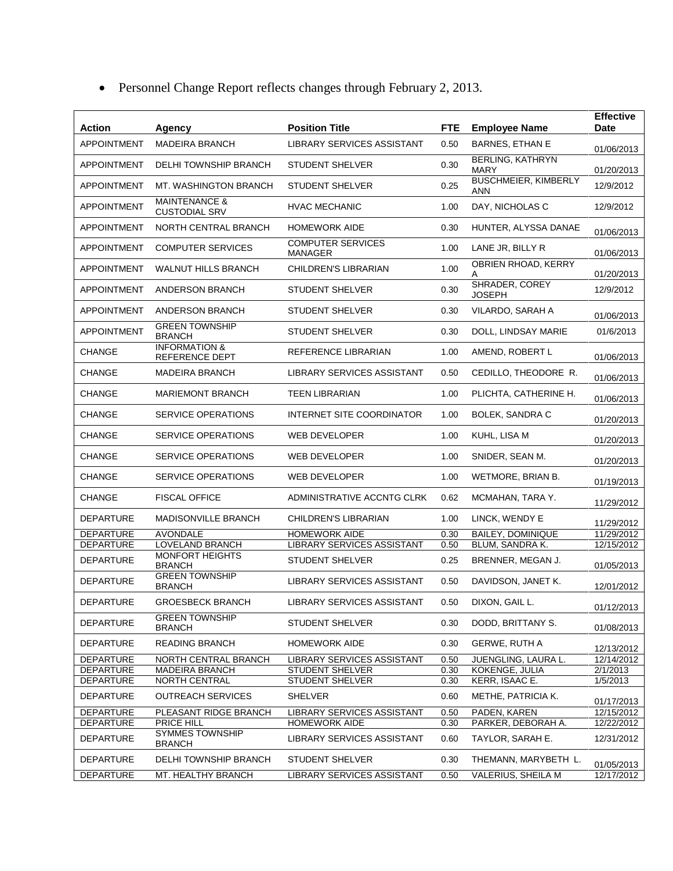| <b>Action</b>      | Agency                                           | <b>Position Title</b>                      | <b>FTE</b> | <b>Employee Name</b>            | <b>Effective</b><br>Date |
|--------------------|--------------------------------------------------|--------------------------------------------|------------|---------------------------------|--------------------------|
| <b>APPOINTMENT</b> | <b>MADEIRA BRANCH</b>                            | LIBRARY SERVICES ASSISTANT                 | 0.50       | <b>BARNES, ETHAN E</b>          | 01/06/2013               |
| <b>APPOINTMENT</b> | <b>DELHI TOWNSHIP BRANCH</b>                     | <b>STUDENT SHELVER</b>                     | 0.30       | BERLING, KATHRYN<br>MARY        | 01/20/2013               |
| <b>APPOINTMENT</b> | MT. WASHINGTON BRANCH                            | <b>STUDENT SHELVER</b>                     | 0.25       | <b>BUSCHMEIER, KIMBERLY</b>     | 12/9/2012                |
| <b>APPOINTMENT</b> | <b>MAINTENANCE &amp;</b><br><b>CUSTODIAL SRV</b> | <b>HVAC MECHANIC</b>                       | 1.00       | ANN<br>DAY, NICHOLAS C          | 12/9/2012                |
| <b>APPOINTMENT</b> | NORTH CENTRAL BRANCH                             | <b>HOMEWORK AIDE</b>                       | 0.30       | HUNTER, ALYSSA DANAE            | 01/06/2013               |
| <b>APPOINTMENT</b> | <b>COMPUTER SERVICES</b>                         | <b>COMPUTER SERVICES</b><br><b>MANAGER</b> | 1.00       | LANE JR, BILLY R                | 01/06/2013               |
| <b>APPOINTMENT</b> | <b>WALNUT HILLS BRANCH</b>                       | CHILDREN'S LIBRARIAN                       | 1.00       | OBRIEN RHOAD, KERRY             | 01/20/2013               |
| <b>APPOINTMENT</b> | <b>ANDERSON BRANCH</b>                           | <b>STUDENT SHELVER</b>                     | 0.30       | SHRADER, COREY<br><b>JOSEPH</b> | 12/9/2012                |
| <b>APPOINTMENT</b> | <b>ANDERSON BRANCH</b>                           | <b>STUDENT SHELVER</b>                     | 0.30       | VILARDO, SARAH A                | 01/06/2013               |
| <b>APPOINTMENT</b> | <b>GREEN TOWNSHIP</b><br><b>BRANCH</b>           | <b>STUDENT SHELVER</b>                     | 0.30       | DOLL, LINDSAY MARIE             | 01/6/2013                |
| CHANGE             | <b>INFORMATION &amp;</b><br>REFERENCE DEPT       | REFERENCE LIBRARIAN                        | 1.00       | AMEND, ROBERT L                 | 01/06/2013               |
| CHANGE             | <b>MADEIRA BRANCH</b>                            | <b>LIBRARY SERVICES ASSISTANT</b>          | 0.50       | CEDILLO, THEODORE R.            | 01/06/2013               |
| <b>CHANGE</b>      | <b>MARIEMONT BRANCH</b>                          | <b>TEEN LIBRARIAN</b>                      | 1.00       | PLICHTA, CATHERINE H.           | 01/06/2013               |
| <b>CHANGE</b>      | <b>SERVICE OPERATIONS</b>                        | INTERNET SITE COORDINATOR                  | 1.00       | <b>BOLEK, SANDRA C</b>          | 01/20/2013               |
| CHANGE             | <b>SERVICE OPERATIONS</b>                        | WEB DEVELOPER                              | 1.00       | KUHL, LISA M                    | 01/20/2013               |
| CHANGE             | <b>SERVICE OPERATIONS</b>                        | WEB DEVELOPER                              | 1.00       | SNIDER, SEAN M.                 | 01/20/2013               |
| CHANGE             | SERVICE OPERATIONS                               | <b>WEB DEVELOPER</b>                       | 1.00       | WETMORE, BRIAN B.               | 01/19/2013               |
| CHANGE             | <b>FISCAL OFFICE</b>                             | ADMINISTRATIVE ACCNTG CLRK                 | 0.62       | MCMAHAN, TARA Y.                | 11/29/2012               |
| <b>DEPARTURE</b>   | <b>MADISONVILLE BRANCH</b>                       | CHILDREN'S LIBRARIAN                       | 1.00       | LINCK, WENDY E                  | 11/29/2012               |
| <b>DEPARTURE</b>   | <b>AVONDALE</b>                                  | <b>HOMEWORK AIDE</b>                       | 0.30       | <b>BAILEY, DOMINIQUE</b>        | 11/29/2012               |
| <b>DEPARTURE</b>   | LOVELAND BRANCH                                  | <b>LIBRARY SERVICES ASSISTANT</b>          | 0.50       | <b>BLUM, SANDRA K.</b>          | 12/15/2012               |
| <b>DEPARTURE</b>   | <b>MONFORT HEIGHTS</b><br><b>BRANCH</b>          | <b>STUDENT SHELVER</b>                     | 0.25       | BRENNER, MEGAN J.               | 01/05/2013               |
| <b>DEPARTURE</b>   | <b>GREEN TOWNSHIP</b><br><b>BRANCH</b>           | LIBRARY SERVICES ASSISTANT                 | 0.50       | DAVIDSON, JANET K.              | 12/01/2012               |
| DEPARTURE          | <b>GROESBECK BRANCH</b>                          | LIBRARY SERVICES ASSISTANT                 | 0.50       | DIXON, GAIL L.                  | 01/12/2013               |
| <b>DEPARTURE</b>   | <b>GREEN TOWNSHIP</b><br><b>BRANCH</b>           | <b>STUDENT SHELVER</b>                     | 0.30       | DODD, BRITTANY S.               | 01/08/2013               |
| <b>DEPARTURE</b>   | <b>READING BRANCH</b>                            | <b>HOMEWORK AIDE</b>                       | 0.30       | <b>GERWE, RUTH A</b>            | 12/13/2012               |
| <b>DEPARTURE</b>   | NORTH CENTRAL BRANCH                             | LIBRARY SERVICES ASSISTANT                 | 0.50       | JUENGLING, LAURA L.             | 12/14/2012               |
| <b>DEPARTURE</b>   | <b>MADEIRA BRANCH</b>                            | <b>STUDENT SHELVER</b>                     | 0.30       | KOKENGE, JULIA                  | 2/1/2013                 |
| DEPARTURE          | NORTH CENTRAL                                    | STUDENT SHELVER                            | 0.30       | KERR, ISAAC E.                  | 1/5/2013                 |
| <b>DEPARTURE</b>   | <b>OUTREACH SERVICES</b>                         | <b>SHELVER</b>                             | 0.60       | METHE, PATRICIA K.              | 01/17/2013               |
| <b>DEPARTURE</b>   | PLEASANT RIDGE BRANCH                            | LIBRARY SERVICES ASSISTANT                 | 0.50       | PADEN, KAREN                    | 12/15/2012               |
| <b>DEPARTURE</b>   | PRICE HILL                                       | <b>HOMEWORK AIDE</b>                       | 0.30       | PARKER, DEBORAH A.              | 12/22/2012               |
| <b>DEPARTURE</b>   | <b>SYMMES TOWNSHIP</b><br><b>BRANCH</b>          | LIBRARY SERVICES ASSISTANT                 | 0.60       | TAYLOR, SARAH E.                | 12/31/2012               |
| <b>DEPARTURE</b>   | DELHI TOWNSHIP BRANCH                            | <b>STUDENT SHELVER</b>                     | 0.30       | THEMANN, MARYBETH L.            | 01/05/2013               |
| <b>DEPARTURE</b>   | MT. HEALTHY BRANCH                               | LIBRARY SERVICES ASSISTANT                 | 0.50       | VALERIUS, SHEILA M              | 12/17/2012               |

Personnel Change Report reflects changes through February 2, 2013.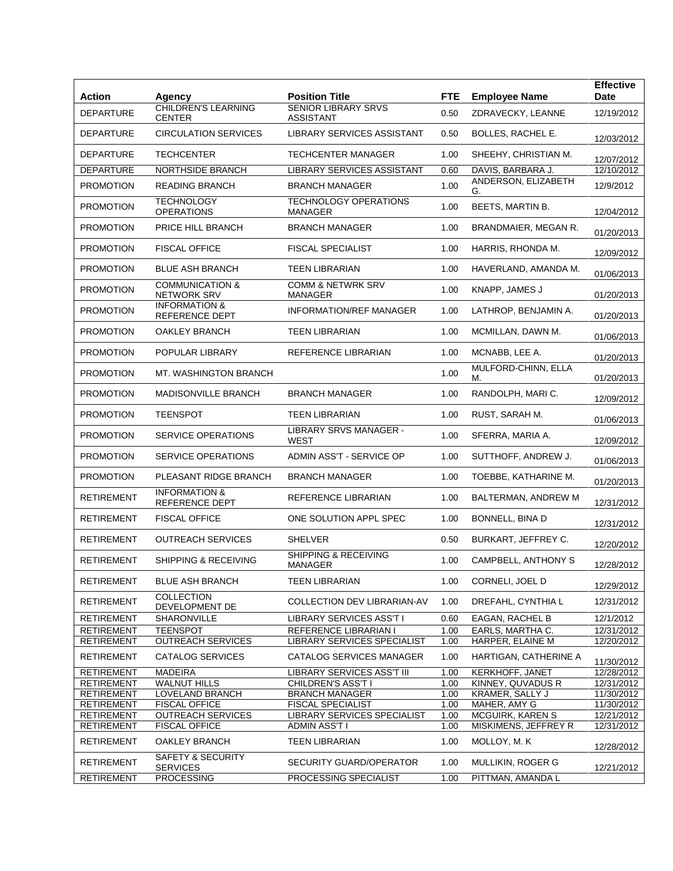| <b>Action</b>     | Agency                                            | <b>Position Title</b>                                 | <b>FTE</b> | <b>Employee Name</b>       | <b>Effective</b><br><b>Date</b> |
|-------------------|---------------------------------------------------|-------------------------------------------------------|------------|----------------------------|---------------------------------|
| <b>DEPARTURE</b>  | <b>CHILDREN'S LEARNING</b>                        | <b>SENIOR LIBRARY SRVS</b>                            | 0.50       | ZDRAVECKY, LEANNE          | 12/19/2012                      |
|                   | <b>CENTER</b><br><b>CIRCULATION SERVICES</b>      | <b>ASSISTANT</b><br><b>LIBRARY SERVICES ASSISTANT</b> |            |                            |                                 |
| DEPARTURE         |                                                   |                                                       | 0.50       | BOLLES, RACHEL E.          | 12/03/2012                      |
| <b>DEPARTURE</b>  | <b>TECHCENTER</b>                                 | <b>TECHCENTER MANAGER</b>                             | 1.00       | SHEEHY, CHRISTIAN M.       | 12/07/2012                      |
| <b>DEPARTURE</b>  | NORTHSIDE BRANCH                                  | LIBRARY SERVICES ASSISTANT                            | 0.60       | DAVIS, BARBARA J.          | 12/10/2012                      |
| <b>PROMOTION</b>  | <b>READING BRANCH</b>                             | <b>BRANCH MANAGER</b>                                 | 1.00       | ANDERSON, ELIZABETH<br>G.  | 12/9/2012                       |
| <b>PROMOTION</b>  | <b>TECHNOLOGY</b><br><b>OPERATIONS</b>            | <b>TECHNOLOGY OPERATIONS</b><br><b>MANAGER</b>        | 1.00       | BEETS, MARTIN B.           | 12/04/2012                      |
| <b>PROMOTION</b>  | PRICE HILL BRANCH                                 | <b>BRANCH MANAGER</b>                                 | 1.00       | BRANDMAIER, MEGAN R.       | 01/20/2013                      |
| <b>PROMOTION</b>  | <b>FISCAL OFFICE</b>                              | <b>FISCAL SPECIALIST</b>                              | 1.00       | HARRIS, RHONDA M.          | 12/09/2012                      |
| <b>PROMOTION</b>  | <b>BLUE ASH BRANCH</b>                            | <b>TEEN LIBRARIAN</b>                                 | 1.00       | HAVERLAND, AMANDA M.       | 01/06/2013                      |
| <b>PROMOTION</b>  | <b>COMMUNICATION &amp;</b><br><b>NETWORK SRV</b>  | COMM & NETWRK SRV<br>MANAGER                          | 1.00       | KNAPP, JAMES J             | 01/20/2013                      |
| <b>PROMOTION</b>  | <b>INFORMATION &amp;</b><br><b>REFERENCE DEPT</b> | <b>INFORMATION/REF MANAGER</b>                        | 1.00       | LATHROP, BENJAMIN A.       | 01/20/2013                      |
| <b>PROMOTION</b>  | OAKLEY BRANCH                                     | <b>TEEN LIBRARIAN</b>                                 | 1.00       | MCMILLAN, DAWN M.          | 01/06/2013                      |
| <b>PROMOTION</b>  | POPULAR LIBRARY                                   | REFERENCE LIBRARIAN                                   | 1.00       | MCNABB, LEE A.             | 01/20/2013                      |
| <b>PROMOTION</b>  | MT. WASHINGTON BRANCH                             |                                                       | 1.00       | MULFORD-CHINN, ELLA<br>М.  | 01/20/2013                      |
| <b>PROMOTION</b>  | <b>MADISONVILLE BRANCH</b>                        | <b>BRANCH MANAGER</b>                                 | 1.00       | RANDOLPH, MARI C.          | 12/09/2012                      |
| <b>PROMOTION</b>  | <b>TEENSPOT</b>                                   | <b>TEEN LIBRARIAN</b>                                 | 1.00       | RUST, SARAH M.             | 01/06/2013                      |
| <b>PROMOTION</b>  | SERVICE OPERATIONS                                | LIBRARY SRVS MANAGER -<br>WEST                        | 1.00       | SFERRA, MARIA A.           | 12/09/2012                      |
| <b>PROMOTION</b>  | <b>SERVICE OPERATIONS</b>                         | ADMIN ASS'T - SERVICE OP                              | 1.00       | SUTTHOFF, ANDREW J.        | 01/06/2013                      |
| <b>PROMOTION</b>  | PLEASANT RIDGE BRANCH                             | <b>BRANCH MANAGER</b>                                 | 1.00       | TOEBBE, KATHARINE M.       | 01/20/2013                      |
| RETIREMENT        | <b>INFORMATION &amp;</b><br><b>REFERENCE DEPT</b> | REFERENCE LIBRARIAN                                   | 1.00       | BALTERMAN, ANDREW M        | 12/31/2012                      |
| <b>RETIREMENT</b> | <b>FISCAL OFFICE</b>                              | ONE SOLUTION APPL SPEC                                | 1.00       | BONNELL, BINA D            | 12/31/2012                      |
| RETIREMENT        | <b>OUTREACH SERVICES</b>                          | <b>SHELVER</b>                                        | 0.50       | BURKART, JEFFREY C.        | 12/20/2012                      |
| RETIREMENT        | SHIPPING & RECEIVING                              | SHIPPING & RECEIVING<br>MANAGER                       | 1.00       | <b>CAMPBELL, ANTHONY S</b> | 12/28/2012                      |
| RETIREMENT        | <b>BLUE ASH BRANCH</b>                            | <b>TEEN LIBRARIAN</b>                                 | 1.00       | CORNELI, JOEL D            | 12/29/2012                      |
| RETIREMENT        | COLLECTION<br>DEVELOPMENT DE                      | COLLECTION DEV LIBRARIAN-AV                           | 1.00       | DREFAHL, CYNTHIA L         | 12/31/2012                      |
| RETIREMENT        | <b>SHARONVILLE</b>                                | <b>LIBRARY SERVICES ASS'T I</b>                       | 0.60       | EAGAN, RACHEL B            | 12/1/2012                       |
| <b>RETIREMENT</b> | <b>TEENSPOT</b>                                   | REFERENCE LIBRARIAN I                                 | 1.00       | EARLS, MARTHA C.           | 12/31/2012                      |
| <b>RETIREMENT</b> | <b>OUTREACH SERVICES</b>                          | LIBRARY SERVICES SPECIALIST                           | 1.00       | HARPER, ELAINE M           | 12/20/2012                      |
| <b>RETIREMENT</b> | CATALOG SERVICES                                  | CATALOG SERVICES MANAGER                              | 1.00       | HARTIGAN, CATHERINE A      | 11/30/2012                      |
| <b>RETIREMENT</b> | <b>MADEIRA</b>                                    | <b>LIBRARY SERVICES ASS'T III</b>                     | 1.00       | KERKHOFF, JANET            | 12/28/2012                      |
| <b>RETIREMENT</b> | <b>WALNUT HILLS</b>                               | CHILDREN'S ASS'T I                                    | 1.00       | KINNEY, QUVADUS R          | 12/31/2012                      |
| <b>RETIREMENT</b> | LOVELAND BRANCH                                   | <b>BRANCH MANAGER</b>                                 | 1.00       | KRAMER, SALLY J            | 11/30/2012                      |
| <b>RETIREMENT</b> | <b>FISCAL OFFICE</b>                              | <b>FISCAL SPECIALIST</b>                              | 1.00       | MAHER, AMY G               | 11/30/2012                      |
| <b>RETIREMENT</b> | <b>OUTREACH SERVICES</b>                          | LIBRARY SERVICES SPECIALIST                           | 1.00       | <b>MCGUIRK, KAREN S</b>    | 12/21/2012                      |
| <b>RETIREMENT</b> | <b>FISCAL OFFICE</b>                              | <b>ADMIN ASS'T I</b>                                  | 1.00       | MISKIMENS, JEFFREY R       | 12/31/2012                      |
| <b>RETIREMENT</b> | OAKLEY BRANCH                                     | <b>TEEN LIBRARIAN</b>                                 | 1.00       | MOLLOY, M. K               | 12/28/2012                      |
| <b>RETIREMENT</b> | SAFETY & SECURITY<br><b>SERVICES</b>              | SECURITY GUARD/OPERATOR                               | 1.00       | MULLIKIN, ROGER G          | 12/21/2012                      |
| <b>RETIREMENT</b> | <b>PROCESSING</b>                                 | PROCESSING SPECIALIST                                 | 1.00       | PITTMAN, AMANDA L          |                                 |